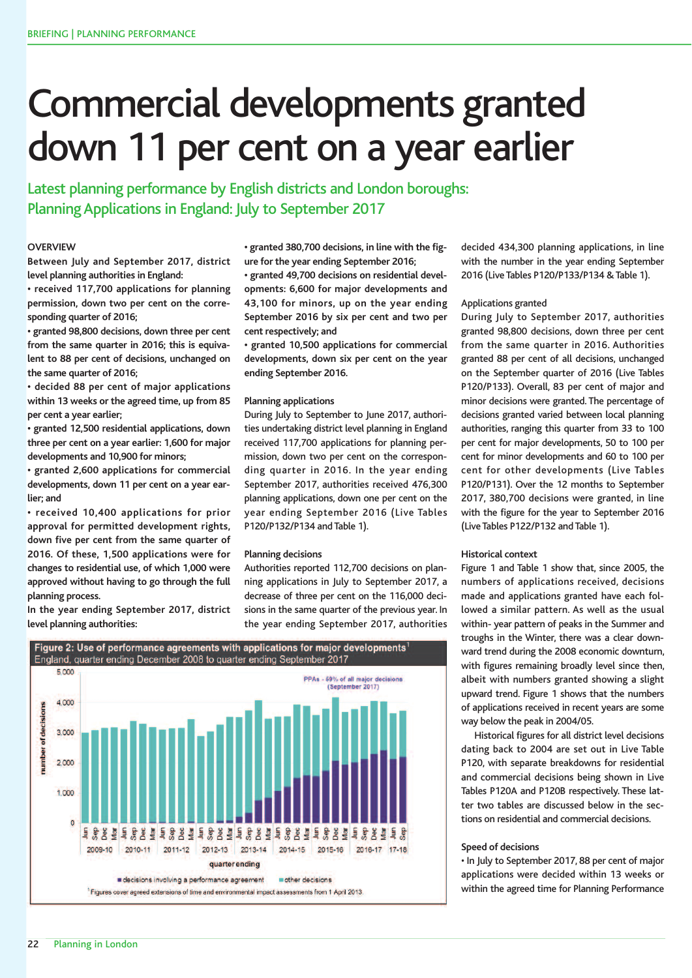# Commercial developments granted down 11 per cent on a year earlier

Latest planning performance by English districts and London boroughs: Planning Applications in England: July to September 2017

# **OVERVIEW**

**Between July and September 2017, district level planning authorities in England:**

**• received 117,700 applications for planning permission, down two per cent on the corresponding quarter of 2016;**

**• granted 98,800 decisions, down three per cent from the same quarter in 2016; this is equivalent to 88 per cent of decisions, unchanged on the same quarter of 2016;**

**• decided 88 per cent of major applications within 13 weeks or the agreed time, up from 85 per cent a year earlier;**

**• granted 12,500 residential applications, down three per cent on a year earlier: 1,600 for major developments and 10,900 for minors;**

**• granted 2,600 applications for commercial developments, down 11 per cent on a year earlier; and**

**• received 10,400 applications for prior approval for permitted development rights, down five per cent from the same quarter of 2016. Of these, 1,500 applications were for changes to residential use, of which 1,000 were approved without having to go through the full planning process.**

**In the year ending September 2017, district level planning authorities:**

**• granted 380,700 decisions, in line with the figure for the year ending September 2016;**

**• granted 49,700 decisions on residential developments: 6,600 for major developments and 43,100 for minors, up on the year ending September 2016 by six per cent and two per cent respectively; and**

**• granted 10,500 applications for commercial developments, down six per cent on the year ending September 2016.**

### **Planning applications**

During July to September to June 2017, authorities undertaking district level planning in England received 117,700 applications for planning permission, down two per cent on the corresponding quarter in 2016. In the year ending September 2017, authorities received 476,300 planning applications, down one per cent on the year ending September 2016 (Live Tables P120/P132/P134 and Table 1).

## **Planning decisions**

Authorities reported 112,700 decisions on planning applications in July to September 2017, a decrease of three per cent on the 116,000 decisions in the same quarter of the previous year. In the year ending September 2017, authorities



decided 434,300 planning applications, in line with the number in the year ending September 2016 (Live Tables P120/P133/P134 & Table 1).

# Applications granted

During July to September 2017, authorities granted 98,800 decisions, down three per cent from the same quarter in 2016. Authorities granted 88 per cent of all decisions, unchanged on the September quarter of 2016 (Live Tables P120/P133). Overall, 83 per cent of major and minor decisions were granted. The percentage of decisions granted varied between local planning authorities, ranging this quarter from 33 to 100 per cent for major developments, 50 to 100 per cent for minor developments and 60 to 100 per cent for other developments (Live Tables P120/P131). Over the 12 months to September 2017, 380,700 decisions were granted, in line with the figure for the year to September 2016 (Live Tables P122/P132 and Table 1).

## **Historical context**

Figure 1 and Table 1 show that, since 2005, the numbers of applications received, decisions made and applications granted have each followed a similar pattern. As well as the usual within- year pattern of peaks in the Summer and troughs in the Winter, there was a clear downward trend during the 2008 economic downturn, with figures remaining broadly level since then, albeit with numbers granted showing a slight upward trend. Figure 1 shows that the numbers of applications received in recent years are some way below the peak in 2004/05.

Historical figures for all district level decisions dating back to 2004 are set out in Live Table P120, with separate breakdowns for residential and commercial decisions being shown in Live Tables P120A and P120B respectively. These latter two tables are discussed below in the sections on residential and commercial decisions.

#### **Speed of decisions**

• In July to September 2017, 88 per cent of major applications were decided within 13 weeks or within the agreed time for Planning Performance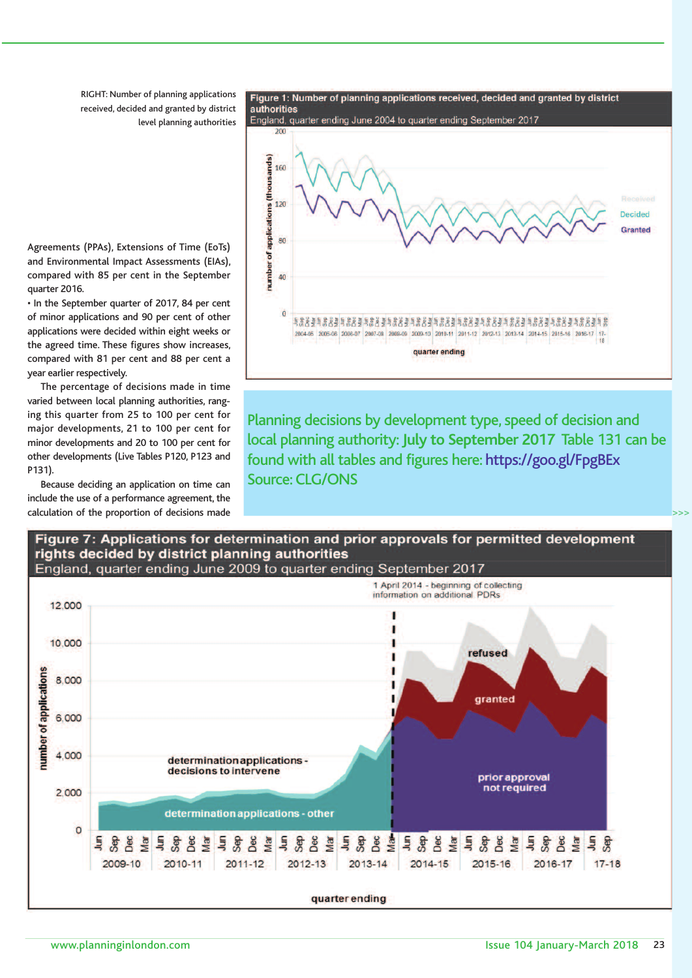RIGHT: Number of planning applications received, decided and granted by district level planning authorities



Planning decisions by development type, speed of decision and local planning authority:**July to September 2017** Table 131 can be found with all tables and figures here: https://goo.gl/FpgBEx Source: CLG/ONS

Agreements (PPAs), Extensions of Time (EoTs) and Environmental Impact Assessments (EIAs), compared with 85 per cent in the September quarter 2016.

• In the September quarter of 2017, 84 per cent of minor applications and 90 per cent of other applications were decided within eight weeks or the agreed time. These figures show increases, compared with 81 per cent and 88 per cent a year earlier respectively.

The percentage of decisions made in time varied between local planning authorities, ranging this quarter from 25 to 100 per cent for major developments, 21 to 100 per cent for minor developments and 20 to 100 per cent for other developments (Live Tables P120, P123 and P131).

Because deciding an application on time can include the use of a performance agreement, the calculation of the proportion of decisions made



Figure 1: Number of planning applications received, decided and granted by district authorities

>>>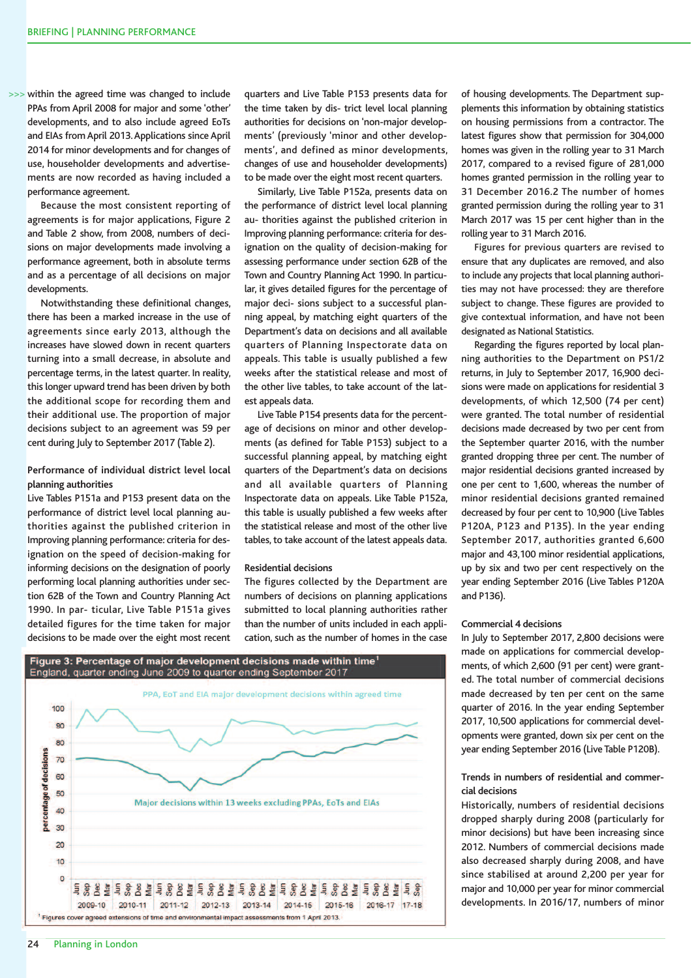>>> within the agreed time was changed to include PPAs from April 2008 for major and some 'other' developments, and to also include agreed EoTs and EIAs from April 2013.Applications since April 2014 for minor developments and for changes of use, householder developments and advertisements are now recorded as having included a performance agreement.

Because the most consistent reporting of agreements is for major applications, Figure 2 and Table 2 show, from 2008, numbers of decisions on major developments made involving a performance agreement, both in absolute terms and as a percentage of all decisions on major developments.

Notwithstanding these definitional changes, there has been a marked increase in the use of agreements since early 2013, although the increases have slowed down in recent quarters turning into a small decrease, in absolute and percentage terms, in the latest quarter. In reality, this longer upward trend has been driven by both the additional scope for recording them and their additional use. The proportion of major decisions subject to an agreement was 59 per cent during July to September 2017 (Table 2).

# **Performance of individual district level local planning authorities**

Live Tables P151a and P153 present data on the performance of district level local planning authorities against the published criterion in Improving planning performance: criteria for designation on the speed of decision-making for informing decisions on the designation of poorly performing local planning authorities under section 62B of the Town and Country Planning Act 1990. In par- ticular, Live Table P151a gives detailed figures for the time taken for major decisions to be made over the eight most recent

quarters and Live Table P153 presents data for the time taken by dis- trict level local planning authorities for decisions on 'non-major developments' (previously 'minor and other developments', and defined as minor developments, changes of use and householder developments) to be made over the eight most recent quarters.

Similarly, Live Table P152a, presents data on the performance of district level local planning au- thorities against the published criterion in Improving planning performance: criteria for designation on the quality of decision-making for assessing performance under section 62B of the Town and Country Planning Act 1990. In particular, it gives detailed figures for the percentage of major deci- sions subject to a successful planning appeal, by matching eight quarters of the Department's data on decisions and all available quarters of Planning Inspectorate data on appeals. This table is usually published a few weeks after the statistical release and most of the other live tables, to take account of the latest appeals data.

Live Table P154 presents data for the percentage of decisions on minor and other developments (as defined for Table P153) subject to a successful planning appeal, by matching eight quarters of the Department's data on decisions and all available quarters of Planning Inspectorate data on appeals. Like Table P152a, this table is usually published a few weeks after the statistical release and most of the other live tables, to take account of the latest appeals data.

#### **Residential decisions**

The figures collected by the Department are numbers of decisions on planning applications submitted to local planning authorities rather than the number of units included in each application, such as the number of homes in the case



of housing developments. The Department supplements this information by obtaining statistics on housing permissions from a contractor. The latest figures show that permission for 304,000 homes was given in the rolling year to 31 March 2017, compared to a revised figure of 281,000 homes granted permission in the rolling year to 31 December 2016.2 The number of homes granted permission during the rolling year to 31 March 2017 was 15 per cent higher than in the rolling year to 31 March 2016.

Figures for previous quarters are revised to ensure that any duplicates are removed, and also to include any projects that local planning authorities may not have processed: they are therefore subject to change. These figures are provided to give contextual information, and have not been designated as National Statistics.

Regarding the figures reported by local planning authorities to the Department on PS1/2 returns, in July to September 2017, 16,900 decisions were made on applications for residential 3 developments, of which 12,500 (74 per cent) were granted. The total number of residential decisions made decreased by two per cent from the September quarter 2016, with the number granted dropping three per cent. The number of major residential decisions granted increased by one per cent to 1,600, whereas the number of minor residential decisions granted remained decreased by four per cent to 10,900 (Live Tables P120A, P123 and P135). In the year ending September 2017, authorities granted 6,600 major and 43,100 minor residential applications, up by six and two per cent respectively on the year ending September 2016 (Live Tables P120A and P136).

#### **Commercial 4 decisions**

In July to September 2017, 2,800 decisions were made on applications for commercial developments, of which 2,600 (91 per cent) were granted. The total number of commercial decisions made decreased by ten per cent on the same quarter of 2016. In the year ending September 2017, 10,500 applications for commercial developments were granted, down six per cent on the year ending September 2016 (Live Table P120B).

# **Trends in numbers of residential and commercial decisions**

Historically, numbers of residential decisions dropped sharply during 2008 (particularly for minor decisions) but have been increasing since 2012. Numbers of commercial decisions made also decreased sharply during 2008, and have since stabilised at around 2,200 per year for major and 10,000 per year for minor commercial developments. In 2016/17, numbers of minor